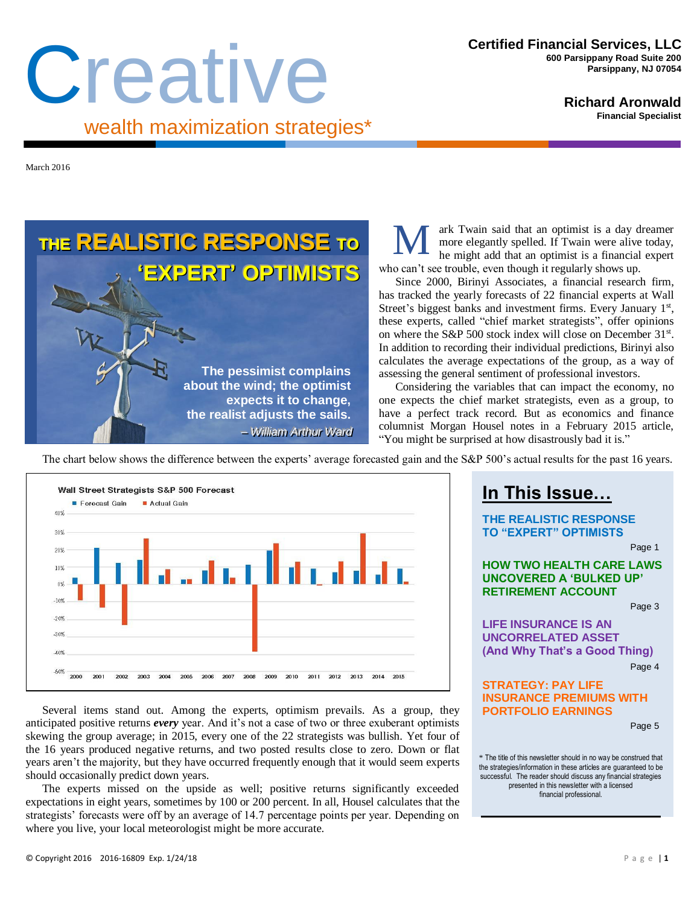# Creative wealth maximization strategies\*

**Richard Aronwald Financial Specialist**

March 2016

**THE REALISTIC RESPONSE TO ''EXPERT'' OPTIIMIISTS The pessimist complains about the wind; the optimist expects it to change, the realist adjusts the sails.**  $-$  *William Arthur Ward* 

ark Twain said that an optimist is a day dreamer more elegantly spelled. If Twain were alive today, he might add that an optimist is a financial expert who can't see trouble, even though it regularly shows up.

Since 2000, Birinyi Associates, a financial research firm, has tracked the yearly forecasts of 22 financial experts at Wall Street's biggest banks and investment firms. Every January 1st, these experts, called "chief market strategists", offer opinions on where the S&P 500 stock index will close on December 31<sup>st</sup>. In addition to recording their individual predictions, Birinyi also calculates the average expectations of the group, as a way of assessing the general sentiment of professional investors.

Considering the variables that can impact the economy, no one expects the chief market strategists, even as a group, to have a perfect track record. But as economics and finance columnist Morgan Housel notes in a February 2015 article, "You might be surprised at how disastrously bad it is."

**In This Issue…**

**THE REALISTIC RESPONSE TO "EXPERT" OPTIMISTS**

**HOW TWO HEALTH CARE LAWS UNCOVERED A 'BULKED UP' RETIREMENT ACCOUNT**

The chart below shows the difference between the experts' average forecasted gain and the S&P 500's actual results for the past 16 years.

20% 10%  $0%$  $-10%$  $-20%$  $-30%$  $-40%$  $-50%$ 2002 2006 2007 2008 2009 2010 2011 2012 2013 2014 Several items stand out. Among the experts, optimism prevails. As a group, they

anticipated positive returns *every* year. And it's not a case of two or three exuberant optimists skewing the group average; in 2015, every one of the 22 strategists was bullish. Yet four of the 16 years produced negative returns, and two posted results close to zero. Down or flat years aren't the majority, but they have occurred frequently enough that it would seem experts should occasionally predict down years.

The experts missed on the upside as well; positive returns significantly exceeded expectations in eight years, sometimes by 100 or 200 percent. In all, Housel calculates that the strategists' forecasts were off by an average of 14.7 percentage points per year. Depending on where you live, your local meteorologist might be more accurate.

#### **LIFE INSURANCE IS AN UNCORRELATED ASSET (And Why That's a Good Thing)** Page 4 **STRATEGY: PAY LIFE INSURANCE PREMIUMS WITH PORTFOLIO EARNINGS**

Page 5

Page 1

Page 3

\* The title of this newsletter should in no way be construed that the strategies/information in these articles are guaranteed to be successful. The reader should discuss any financial strategies presented in this newsletter with a licensed financial professional.

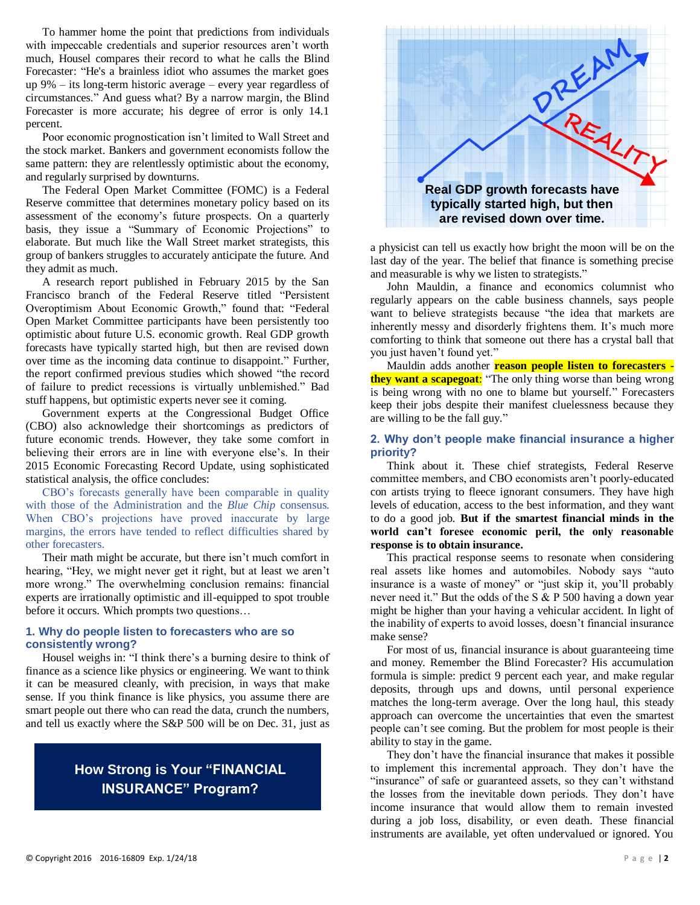To hammer home the point that predictions from individuals with impeccable credentials and superior resources aren't worth much, Housel compares their record to what he calls the Blind Forecaster: "He's a brainless idiot who assumes the market goes up 9% – its long-term historic average – every year regardless of circumstances." And guess what? By a narrow margin, the Blind Forecaster is more accurate; his degree of error is only 14.1 percent.

Poor economic prognostication isn't limited to Wall Street and the stock market. Bankers and government economists follow the same pattern: they are relentlessly optimistic about the economy, and regularly surprised by downturns.

The Federal Open Market Committee (FOMC) is a Federal Reserve committee that determines monetary policy based on its assessment of the economy's future prospects. On a quarterly basis, they issue a "Summary of Economic Projections" to elaborate. But much like the Wall Street market strategists, this group of bankers struggles to accurately anticipate the future. And they admit as much.

A research report published in February 2015 by the San Francisco branch of the Federal Reserve titled "Persistent Overoptimism About Economic Growth," found that: "Federal Open Market Committee participants have been persistently too optimistic about future U.S. economic growth. Real GDP growth forecasts have typically started high, but then are revised down over time as the incoming data continue to disappoint." Further, the report confirmed previous studies which showed "the record of failure to predict recessions is virtually unblemished." Bad stuff happens, but optimistic experts never see it coming.

Government experts at the Congressional Budget Office (CBO) also acknowledge their shortcomings as predictors of future economic trends. However, they take some comfort in believing their errors are in line with everyone else's. In their 2015 Economic Forecasting Record Update, using sophisticated statistical analysis, the office concludes:

CBO's forecasts generally have been comparable in quality with those of the Administration and the *Blue Chip* consensus. When CBO's projections have proved inaccurate by large margins, the errors have tended to reflect difficulties shared by other forecasters.

Their math might be accurate, but there isn't much comfort in hearing, "Hey, we might never get it right, but at least we aren't more wrong." The overwhelming conclusion remains: financial experts are irrationally optimistic and ill-equipped to spot trouble before it occurs. Which prompts two questions…

#### **1. Why do people listen to forecasters who are so consistently wrong?**

Housel weighs in: "I think there's a burning desire to think of finance as a science like physics or engineering. We want to think it can be measured cleanly, with precision, in ways that make sense. If you think finance is like physics, you assume there are smart people out there who can read the data, crunch the numbers, and tell us exactly where the S&P 500 will be on Dec. 31, just as

# **How Strong is Your "FINANCIAL INSURANCE" Program?**



a physicist can tell us exactly how bright the moon will be on the last day of the year. The belief that finance is something precise and measurable is why we listen to strategists."

John Mauldin, a finance and economics columnist who regularly appears on the cable business channels, says people want to believe strategists because "the idea that markets are inherently messy and disorderly frightens them. It's much more comforting to think that someone out there has a crystal ball that you just haven't found yet."

Mauldin adds another **reason people listen to forecasters they want a scapegoat**: "The only thing worse than being wrong is being wrong with no one to blame but yourself." Forecasters keep their jobs despite their manifest cluelessness because they are willing to be the fall guy."

#### **2. Why don't people make financial insurance a higher priority?**

Think about it. These chief strategists, Federal Reserve committee members, and CBO economists aren't poorly-educated con artists trying to fleece ignorant consumers. They have high levels of education, access to the best information, and they want to do a good job. **But if the smartest financial minds in the world can't foresee economic peril, the only reasonable response is to obtain insurance.**

This practical response seems to resonate when considering real assets like homes and automobiles. Nobody says "auto insurance is a waste of money" or "just skip it, you'll probably never need it." But the odds of the S & P 500 having a down year might be higher than your having a vehicular accident. In light of the inability of experts to avoid losses, doesn't financial insurance make sense?

For most of us, financial insurance is about guaranteeing time and money. Remember the Blind Forecaster? His accumulation formula is simple: predict 9 percent each year, and make regular deposits, through ups and downs, until personal experience matches the long-term average. Over the long haul, this steady approach can overcome the uncertainties that even the smartest people can't see coming. But the problem for most people is their ability to stay in the game.

They don't have the financial insurance that makes it possible to implement this incremental approach. They don't have the "insurance" of safe or guaranteed assets, so they can't withstand the losses from the inevitable down periods. They don't have income insurance that would allow them to remain invested during a job loss, disability, or even death. These financial instruments are available, yet often undervalued or ignored. You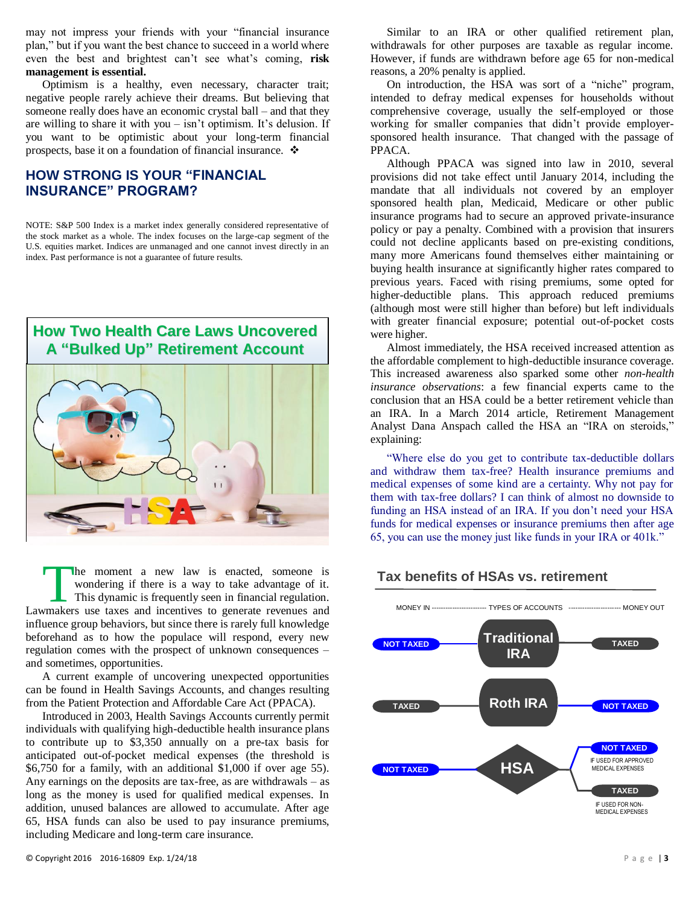may not impress your friends with your "financial insurance plan," but if you want the best chance to succeed in a world where even the best and brightest can't see what's coming, **risk management is essential.** 

Optimism is a healthy, even necessary, character trait; negative people rarely achieve their dreams. But believing that someone really does have an economic crystal ball – and that they are willing to share it with you – isn't optimism. It's delusion. If you want to be optimistic about your long-term financial prospects, base it on a foundation of financial insurance.

## **HOW STRONG IS YOUR "FINANCIAL INSURANCE" PROGRAM?**

NOTE: S&P 500 Index is a market index generally considered representative of the stock market as a whole. The index focuses on the large-cap segment of the U.S. equities market. Indices are unmanaged and one cannot invest directly in an index. Past performance is not a guarantee of future results.



he moment a new law is enacted, someone is wondering if there is a way to take advantage of it. This dynamic is frequently seen in financial regulation. The moment a new law is enacted, someone is wondering if there is a way to take advantage of it.<br>This dynamic is frequently seen in financial regulation.<br>Lawmakers use taxes and incentives to generate revenues and influence group behaviors, but since there is rarely full knowledge beforehand as to how the populace will respond, every new regulation comes with the prospect of unknown consequences – and sometimes, opportunities.

A current example of uncovering unexpected opportunities can be found in Health Savings Accounts, and changes resulting from the Patient Protection and Affordable Care Act (PPACA).

Introduced in 2003, Health Savings Accounts currently permit individuals with qualifying high-deductible health insurance plans to contribute up to \$3,350 annually on a pre-tax basis for anticipated out-of-pocket medical expenses (the threshold is \$6,750 for a family, with an additional \$1,000 if over age 55). Any earnings on the deposits are tax-free, as are withdrawals – as long as the money is used for qualified medical expenses. In addition, unused balances are allowed to accumulate. After age 65, HSA funds can also be used to pay insurance premiums, including Medicare and long-term care insurance.

Similar to an IRA or other qualified retirement plan, withdrawals for other purposes are taxable as regular income. However, if funds are withdrawn before age 65 for non-medical reasons, a 20% penalty is applied.

On introduction, the HSA was sort of a "niche" program, intended to defray medical expenses for households without comprehensive coverage, usually the self-employed or those working for smaller companies that didn't provide employersponsored health insurance. That changed with the passage of PPACA.

Although PPACA was signed into law in 2010, several provisions did not take effect until January 2014, including the mandate that all individuals not covered by an employer sponsored health plan, Medicaid, Medicare or other public insurance programs had to secure an approved private-insurance policy or pay a penalty. Combined with a provision that insurers could not decline applicants based on pre-existing conditions, many more Americans found themselves either maintaining or buying health insurance at significantly higher rates compared to previous years. Faced with rising premiums, some opted for higher-deductible plans. This approach reduced premiums (although most were still higher than before) but left individuals with greater financial exposure; potential out-of-pocket costs were higher.

Almost immediately, the HSA received increased attention as the affordable complement to high-deductible insurance coverage. This increased awareness also sparked some other *non-health insurance observations*: a few financial experts came to the conclusion that an HSA could be a better retirement vehicle than an IRA. In a March 2014 article, Retirement Management Analyst Dana Anspach called the HSA an "IRA on steroids," explaining:

"Where else do you get to contribute tax-deductible dollars and withdraw them tax-free? Health insurance premiums and medical expenses of some kind are a certainty. Why not pay for them with tax-free dollars? I can think of almost no downside to funding an HSA instead of an IRA. If you don't need your HSA funds for medical expenses or insurance premiums then after age 65, you can use the money just like funds in your IRA or 401k."



#### **Tax benefits of HSAs vs. retirement**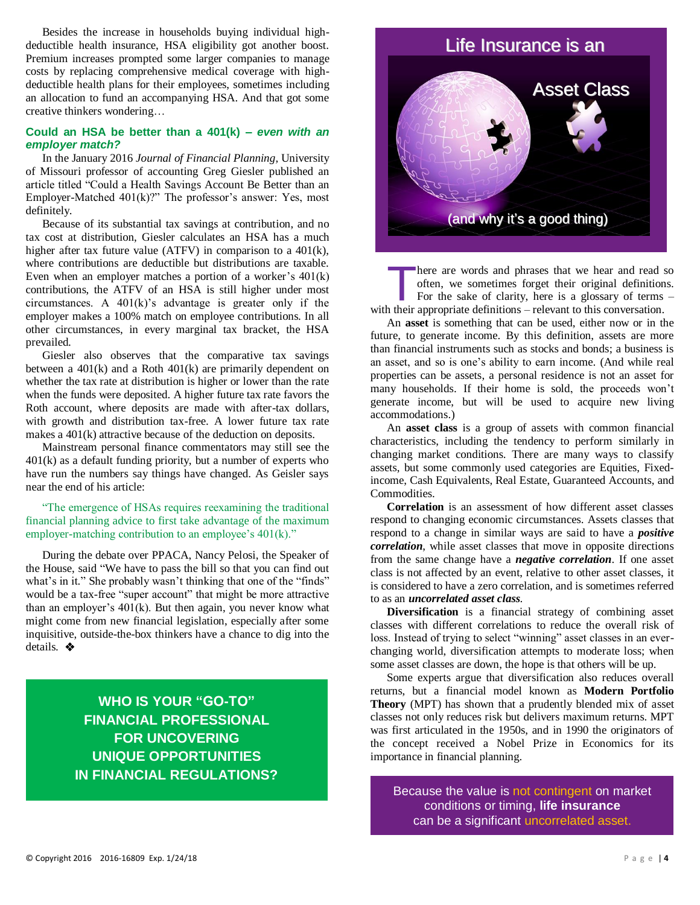Besides the increase in households buying individual highdeductible health insurance, HSA eligibility got another boost. Premium increases prompted some larger companies to manage costs by replacing comprehensive medical coverage with highdeductible health plans for their employees, sometimes including an allocation to fund an accompanying HSA. And that got some creative thinkers wondering…

#### **Could an HSA be better than a 401(k)** *– even with an employer match?*

In the January 2016 *Journal of Financial Planning,* University of Missouri professor of accounting Greg Giesler published an article titled "Could a Health Savings Account Be Better than an Employer-Matched 401(k)?" The professor's answer: Yes, most definitely.

Because of its substantial tax savings at contribution, and no tax cost at distribution, Giesler calculates an HSA has a much higher after tax future value (ATFV) in comparison to a 401(k), where contributions are deductible but distributions are taxable. Even when an employer matches a portion of a worker's 401(k) contributions, the ATFV of an HSA is still higher under most circumstances. A 401(k)'s advantage is greater only if the employer makes a 100% match on employee contributions. In all other circumstances, in every marginal tax bracket, the HSA prevailed.

Giesler also observes that the comparative tax savings between a 401(k) and a Roth 401(k) are primarily dependent on whether the tax rate at distribution is higher or lower than the rate when the funds were deposited. A higher future tax rate favors the Roth account, where deposits are made with after-tax dollars, with growth and distribution tax-free. A lower future tax rate makes a 401(k) attractive because of the deduction on deposits.

Mainstream personal finance commentators may still see the 401(k) as a default funding priority, but a number of experts who have run the numbers say things have changed. As Geisler says near the end of his article:

"The emergence of HSAs requires reexamining the traditional financial planning advice to first take advantage of the maximum employer-matching contribution to an employee's 401(k)."

During the debate over PPACA, Nancy Pelosi, the Speaker of the House, said "We have to pass the bill so that you can find out what's in it." She probably wasn't thinking that one of the "finds" would be a tax-free "super account" that might be more attractive than an employer's 401(k). But then again, you never know what might come from new financial legislation, especially after some inquisitive, outside-the-box thinkers have a chance to dig into the details.  $\clubsuit$ 

> **WHO IS YOUR "GO-TO" FINANCIAL PROFESSIONAL FOR UNCOVERING UNIQUE OPPORTUNITIES IN FINANCIAL REGULATIONS?**



here are words and phrases that we hear and read so often, we sometimes forget their original definitions. For the sake of clarity, here is a glossary of terms – There are words and phrases that we hear and read soften, we sometimes forget their original definition For the sake of clarity, here is a glossary of terms with their appropriate definitions – relevant to this conversatio

An **asset** is something that can be used, either now or in the future, to generate income. By this definition, assets are more than financial instruments such as stocks and bonds; a business is an asset, and so is one's ability to earn income. (And while real properties can be assets, a personal residence is not an asset for many households. If their home is sold, the proceeds won't generate income, but will be used to acquire new living accommodations.)

An **asset class** is a group of assets with common financial characteristics, including the tendency to perform similarly in changing market conditions. There are many ways to classify assets, but some commonly used categories are Equities, Fixedincome, Cash Equivalents, Real Estate, Guaranteed Accounts, and **Commodities** 

**Correlation** is an assessment of how different asset classes respond to changing economic circumstances. Assets classes that respond to a change in similar ways are said to have a *positive correlation*, while asset classes that move in opposite directions from the same change have a *negative correlation*. If one asset class is not affected by an event, relative to other asset classes, it is considered to have a zero correlation, and is sometimes referred to as an *uncorrelated asset class*.

**Diversification** is a financial strategy of combining asset classes with different correlations to reduce the overall risk of loss. Instead of trying to select "winning" asset classes in an everchanging world, diversification attempts to moderate loss; when some asset classes are down, the hope is that others will be up.

Some experts argue that diversification also reduces overall returns, but a financial model known as **Modern Portfolio Theory** (MPT) has shown that a prudently blended mix of asset classes not only reduces risk but delivers maximum returns. MPT was first articulated in the 1950s, and in 1990 the originators of the concept received a Nobel Prize in Economics for its importance in financial planning.

Because the value is not contingent on market conditions or timing, **life insurance** can be a significant uncorrelated asset.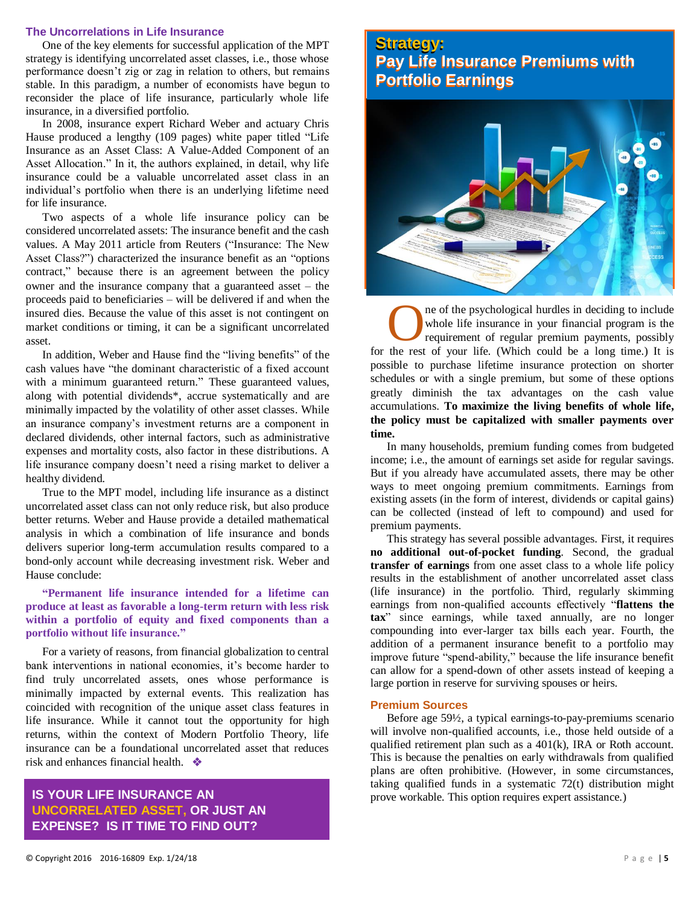#### **The Uncorrelations in Life Insurance**

One of the key elements for successful application of the MPT strategy is identifying uncorrelated asset classes, i.e., those whose performance doesn't zig or zag in relation to others, but remains stable. In this paradigm, a number of economists have begun to reconsider the place of life insurance, particularly whole life insurance, in a diversified portfolio.

In 2008, insurance expert Richard Weber and actuary Chris Hause produced a lengthy (109 pages) white paper titled "Life Insurance as an Asset Class: A Value-Added Component of an Asset Allocation." In it, the authors explained, in detail, why life insurance could be a valuable uncorrelated asset class in an individual's portfolio when there is an underlying lifetime need for life insurance.

Two aspects of a whole life insurance policy can be considered uncorrelated assets: The insurance benefit and the cash values. A May 2011 article from Reuters ("Insurance: The New Asset Class?") characterized the insurance benefit as an "options contract," because there is an agreement between the policy owner and the insurance company that a guaranteed asset – the proceeds paid to beneficiaries – will be delivered if and when the insured dies. Because the value of this asset is not contingent on market conditions or timing, it can be a significant uncorrelated asset.

In addition, Weber and Hause find the "living benefits" of the cash values have "the dominant characteristic of a fixed account with a minimum guaranteed return." These guaranteed values, along with potential dividends\*, accrue systematically and are minimally impacted by the volatility of other asset classes. While an insurance company's investment returns are a component in declared dividends, other internal factors, such as administrative expenses and mortality costs, also factor in these distributions. A life insurance company doesn't need a rising market to deliver a healthy dividend.

True to the MPT model, including life insurance as a distinct uncorrelated asset class can not only reduce risk, but also produce better returns. Weber and Hause provide a detailed mathematical analysis in which a combination of life insurance and bonds delivers superior long-term accumulation results compared to a bond-only account while decreasing investment risk. Weber and Hause conclude:

#### **"Permanent life insurance intended for a lifetime can produce at least as favorable a long-term return with less risk within a portfolio of equity and fixed components than a portfolio without life insurance."**

For a variety of reasons, from financial globalization to central bank interventions in national economies, it's become harder to find truly uncorrelated assets, ones whose performance is minimally impacted by external events. This realization has coincided with recognition of the unique asset class features in life insurance. While it cannot tout the opportunity for high returns, within the context of Modern Portfolio Theory, life insurance can be a foundational uncorrelated asset that reduces risk and enhances financial health.

### **IS YOUR LIFE INSURANCE AN UNCORRELATED ASSET, OR JUST AN EXPENSE? IS IT TIME TO FIND OUT?**

# **Strategy: Strategy: Pay Life Insurance Premiums with Pay Life Insurance Premiums with Portfolio Earnings Portfolio Earnings**



ne of the psychological hurdles in deciding to include whole life insurance in your financial program is the requirement of regular premium payments, possibly The of the psychological hurdles in deciding to include whole life insurance in your financial program is the requirement of regular premium payments, possibly for the rest of your life. (Which could be a long time.) It is possible to purchase lifetime insurance protection on shorter schedules or with a single premium, but some of these options greatly diminish the tax advantages on the cash value accumulations. **To maximize the living benefits of whole life, the policy must be capitalized with smaller payments over time.**

In many households, premium funding comes from budgeted income; i.e., the amount of earnings set aside for regular savings. But if you already have accumulated assets, there may be other ways to meet ongoing premium commitments. Earnings from existing assets (in the form of interest, dividends or capital gains) can be collected (instead of left to compound) and used for premium payments.

This strategy has several possible advantages. First, it requires **no additional out-of-pocket funding**. Second, the gradual **transfer of earnings** from one asset class to a whole life policy results in the establishment of another uncorrelated asset class (life insurance) in the portfolio. Third, regularly skimming earnings from non-qualified accounts effectively "**flattens the tax**" since earnings, while taxed annually, are no longer compounding into ever-larger tax bills each year. Fourth, the addition of a permanent insurance benefit to a portfolio may improve future "spend-ability," because the life insurance benefit can allow for a spend-down of other assets instead of keeping a large portion in reserve for surviving spouses or heirs.

#### **Premium Sources**

Before age 59½, a typical earnings-to-pay-premiums scenario will involve non-qualified accounts, i.e., those held outside of a qualified retirement plan such as a 401(k), IRA or Roth account. This is because the penalties on early withdrawals from qualified plans are often prohibitive. (However, in some circumstances, taking qualified funds in a systematic 72(t) distribution might prove workable. This option requires expert assistance.)